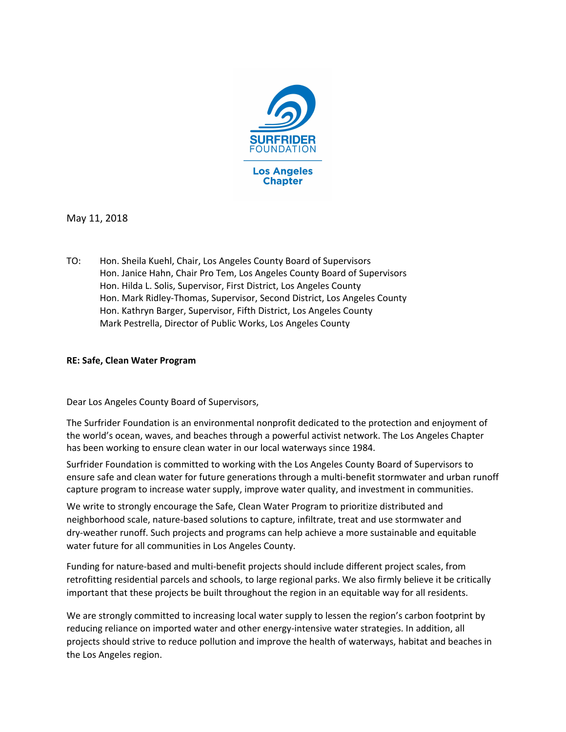

May 11, 2018

TO: Hon. Sheila Kuehl, Chair, Los Angeles County Board of Supervisors Hon. Janice Hahn, Chair Pro Tem, Los Angeles County Board of Supervisors Hon. Hilda L. Solis, Supervisor, First District, Los Angeles County Hon. Mark Ridley-Thomas, Supervisor, Second District, Los Angeles County Hon. Kathryn Barger, Supervisor, Fifth District, Los Angeles County Mark Pestrella, Director of Public Works, Los Angeles County

## RE: Safe, Clean Water Program

Dear Los Angeles County Board of Supervisors,

The Surfrider Foundation is an environmental nonprofit dedicated to the protection and enjoyment of the world's ocean, waves, and beaches through a powerful activist network. The Los Angeles Chapter has been working to ensure clean water in our local waterways since 1984.

Surfrider Foundation is committed to working with the Los Angeles County Board of Supervisors to ensure safe and clean water for future generations through a multi-benefit stormwater and urban runoff capture program to increase water supply, improve water quality, and investment in communities.

We write to strongly encourage the Safe, Clean Water Program to prioritize distributed and neighborhood scale, nature-based solutions to capture, infiltrate, treat and use stormwater and dry-weather runoff. Such projects and programs can help achieve a more sustainable and equitable water future for all communities in Los Angeles County.

Funding for nature-based and multi-benefit projects should include different project scales, from retrofitting residential parcels and schools, to large regional parks. We also firmly believe it be critically important that these projects be built throughout the region in an equitable way for all residents.

We are strongly committed to increasing local water supply to lessen the region's carbon footprint by reducing reliance on imported water and other energy-intensive water strategies. In addition, all projects should strive to reduce pollution and improve the health of waterways, habitat and beaches in the Los Angeles region.